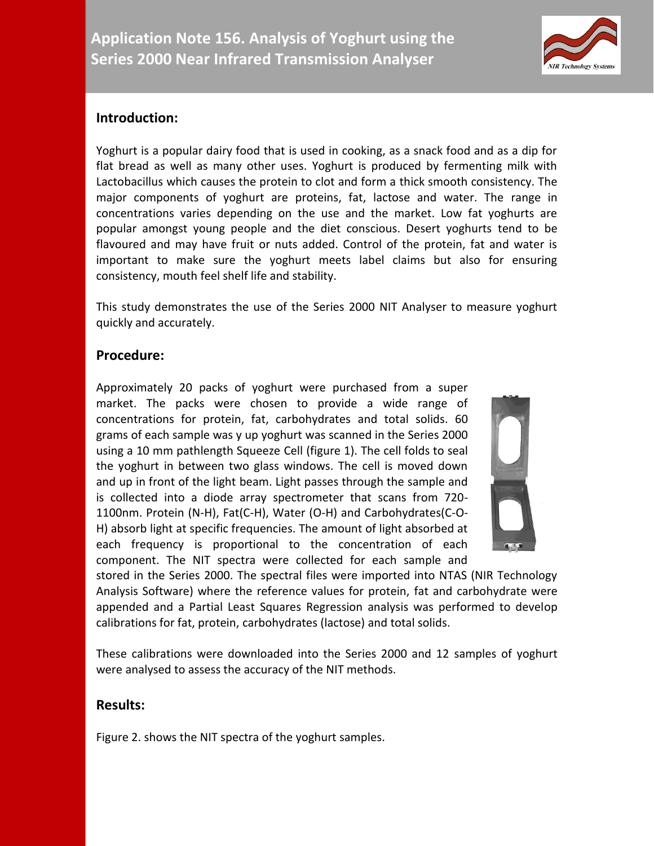

# **Introduction:**

Yoghurt is a popular dairy food that is used in cooking, as a snack food and as a dip for flat bread as well as many other uses. Yoghurt is produced by fermenting milk with Lactobacillus which causes the protein to clot and form a thick smooth consistency. The major components of yoghurt are proteins, fat, lactose and water. The range in concentrations varies depending on the use and the market. Low fat yoghurts are popular amongst young people and the diet conscious. Desert yoghurts tend to be flavoured and may have fruit or nuts added. Control of the protein, fat and water is important to make sure the yoghurt meets label claims but also for ensuring consistency, mouth feel shelf life and stability.

This study demonstrates the use of the Series 2000 NIT Analyser to measure yoghurt quickly and accurately.

## **Procedure:**

Approximately 20 packs of yoghurt were purchased from a super market. The packs were chosen to provide a wide range of concentrations for protein, fat, carbohydrates and total solids. 60 grams of each sample was y up yoghurt was scanned in the Series 2000 using a 10 mm pathlength Squeeze Cell (figure 1). The cell folds to seal the yoghurt in between two glass windows. The cell is moved down and up in front of the light beam. Light passes through the sample and is collected into a diode array spectrometer that scans from 720- 1100nm. Protein (N-H), Fat(C-H), Water (O-H) and Carbohydrates(C-O-H) absorb light at specific frequencies. The amount of light absorbed at each frequency is proportional to the concentration of each component. The NIT spectra were collected for each sample and



stored in the Series 2000. The spectral files were imported into NTAS (NIR Technology Analysis Software) where the reference values for protein, fat and carbohydrate were appended and a Partial Least Squares Regression analysis was performed to develop calibrations for fat, protein, carbohydrates (lactose) and total solids.

These calibrations were downloaded into the Series 2000 and 12 samples of yoghurt were analysed to assess the accuracy of the NIT methods.

## **Results:**

Figure 2. shows the NIT spectra of the yoghurt samples.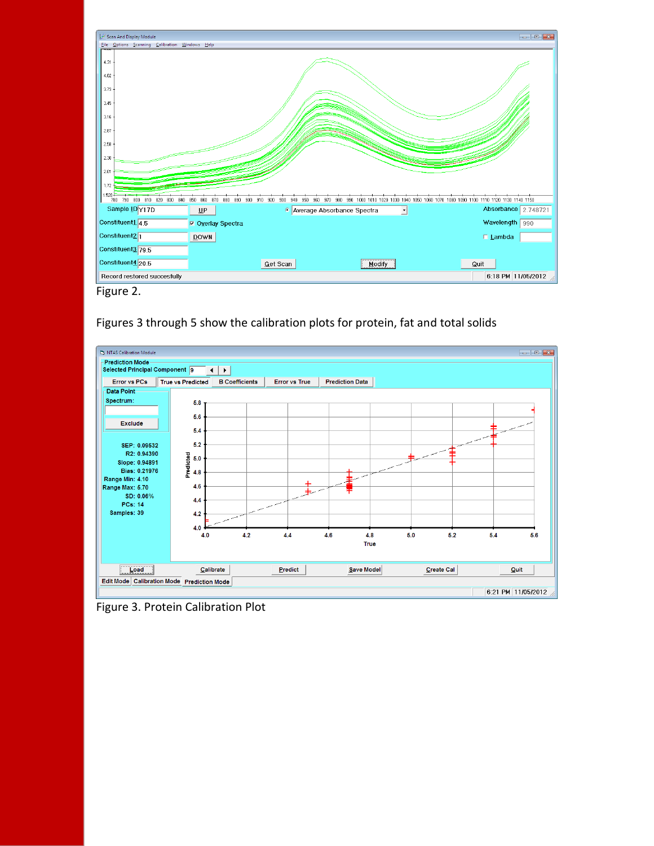

Figure 2.

### Figures 3 through 5 show the calibration plots for protein, fat and total solids



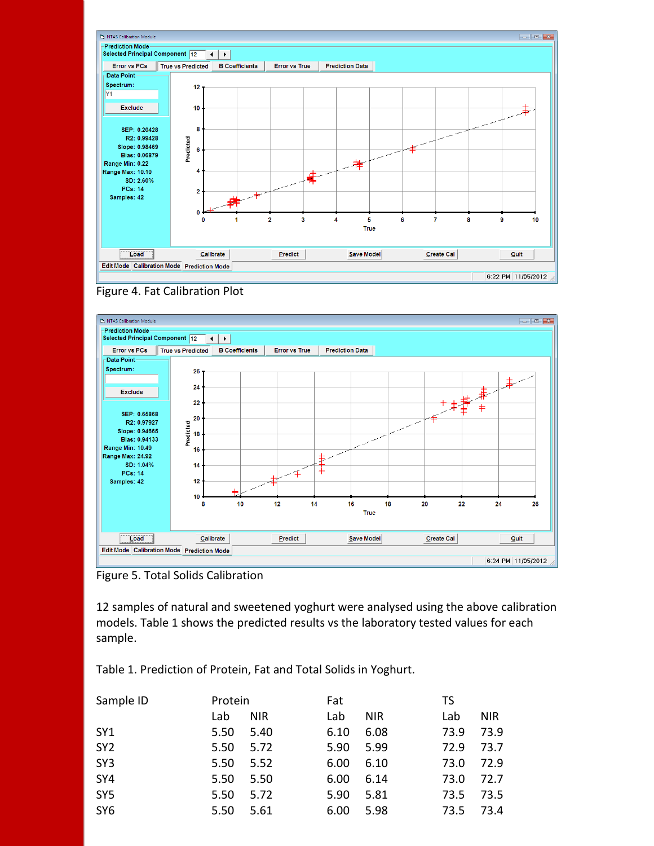





Figure 5. Total Solids Calibration

12 samples of natural and sweetened yoghurt were analysed using the above calibration models. Table 1 shows the predicted results vs the laboratory tested values for each sample.

Table 1. Prediction of Protein, Fat and Total Solids in Yoghurt.

| TS         |  |
|------------|--|
| <b>NIR</b> |  |
| 73.9       |  |
| 73.7       |  |
| 72.9       |  |
| 72.7       |  |
| 73.5       |  |
| 73.4       |  |
|            |  |